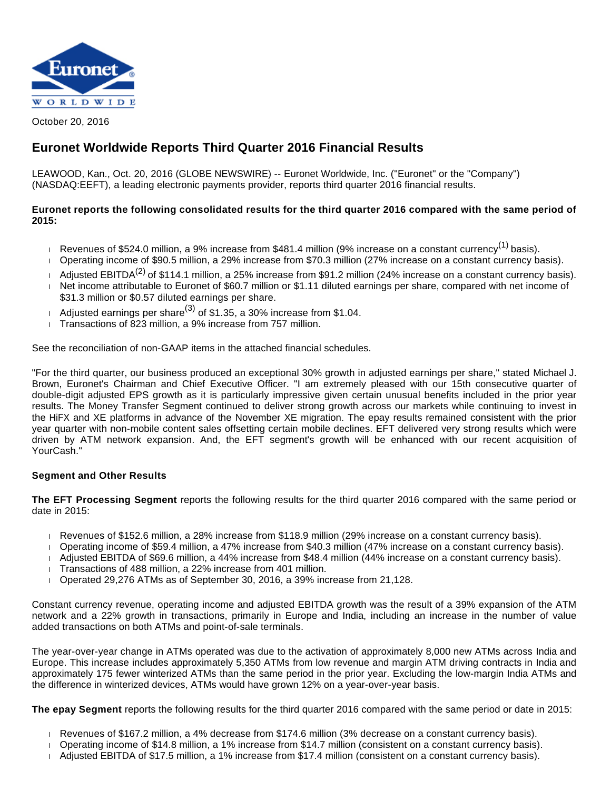

October 20, 2016

# **Euronet Worldwide Reports Third Quarter 2016 Financial Results**

LEAWOOD, Kan., Oct. 20, 2016 (GLOBE NEWSWIRE) -- Euronet Worldwide, Inc. ("Euronet" or the "Company") (NASDAQ:EEFT), a leading electronic payments provider, reports third quarter 2016 financial results.

## **Euronet reports the following consolidated results for the third quarter 2016 compared with the same period of 2015:**

- Revenues of \$524.0 million, a 9% increase from \$481.4 million (9% increase on a constant currency<sup>(1)</sup> basis).
- Operating income of \$90.5 million, a 29% increase from \$70.3 million (27% increase on a constant currency basis).
- Adjusted EBITDA<sup>(2)</sup> of \$114.1 million, a 25% increase from \$91.2 million (24% increase on a constant currency basis). Net income attributable to Euronet of \$60.7 million or \$1.11 diluted earnings per share, compared with net income of \$31.3 million or \$0.57 diluted earnings per share.
- Adjusted earnings per share<sup>(3)</sup> of \$1.35, a 30% increase from \$1.04.
- Transactions of 823 million, a 9% increase from 757 million.

See the reconciliation of non-GAAP items in the attached financial schedules.

"For the third quarter, our business produced an exceptional 30% growth in adjusted earnings per share," stated Michael J. Brown, Euronet's Chairman and Chief Executive Officer. "I am extremely pleased with our 15th consecutive quarter of double-digit adjusted EPS growth as it is particularly impressive given certain unusual benefits included in the prior year results. The Money Transfer Segment continued to deliver strong growth across our markets while continuing to invest in the HiFX and XE platforms in advance of the November XE migration. The epay results remained consistent with the prior year quarter with non-mobile content sales offsetting certain mobile declines. EFT delivered very strong results which were driven by ATM network expansion. And, the EFT segment's growth will be enhanced with our recent acquisition of YourCash."

### **Segment and Other Results**

**The EFT Processing Segment** reports the following results for the third quarter 2016 compared with the same period or date in 2015:

- Revenues of \$152.6 million, a 28% increase from \$118.9 million (29% increase on a constant currency basis).
- Operating income of \$59.4 million, a 47% increase from \$40.3 million (47% increase on a constant currency basis).
- Adjusted EBITDA of \$69.6 million, a 44% increase from \$48.4 million (44% increase on a constant currency basis).
- Transactions of 488 million, a 22% increase from 401 million.
- $\overline{1}$  Operated 29,276 ATMs as of September 30, 2016, a 39% increase from 21,128.

Constant currency revenue, operating income and adjusted EBITDA growth was the result of a 39% expansion of the ATM network and a 22% growth in transactions, primarily in Europe and India, including an increase in the number of value added transactions on both ATMs and point-of-sale terminals.

The year-over-year change in ATMs operated was due to the activation of approximately 8,000 new ATMs across India and Europe. This increase includes approximately 5,350 ATMs from low revenue and margin ATM driving contracts in India and approximately 175 fewer winterized ATMs than the same period in the prior year. Excluding the low-margin India ATMs and the difference in winterized devices, ATMs would have grown 12% on a year-over-year basis.

**The epay Segment** reports the following results for the third quarter 2016 compared with the same period or date in 2015:

- Revenues of \$167.2 million, a 4% decrease from \$174.6 million (3% decrease on a constant currency basis).
- Operating income of \$14.8 million, a 1% increase from \$14.7 million (consistent on a constant currency basis).
- Adjusted EBITDA of \$17.5 million, a 1% increase from \$17.4 million (consistent on a constant currency basis).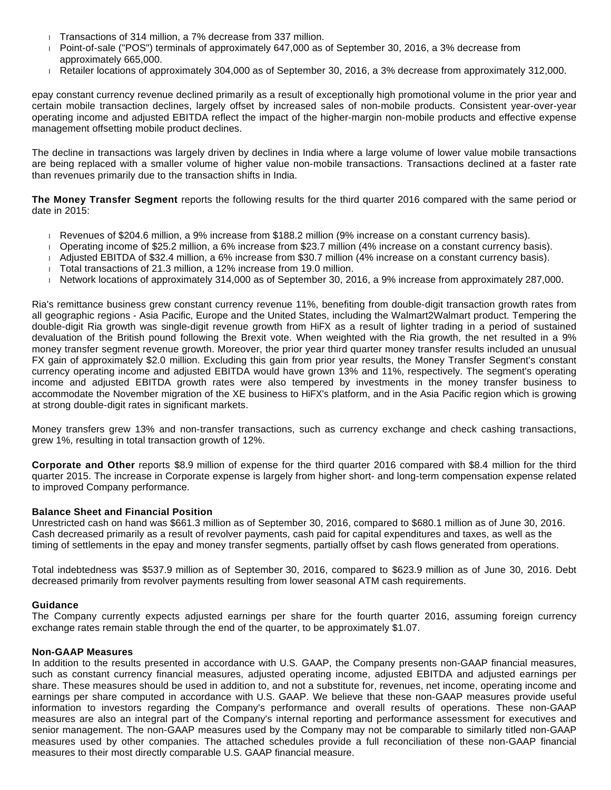- Transactions of 314 million, a 7% decrease from 337 million.
- Point-of-sale ("POS") terminals of approximately 647,000 as of September 30, 2016, a 3% decrease from approximately 665,000.
- Retailer locations of approximately 304,000 as of September 30, 2016, a 3% decrease from approximately 312,000.

epay constant currency revenue declined primarily as a result of exceptionally high promotional volume in the prior year and certain mobile transaction declines, largely offset by increased sales of non-mobile products. Consistent year-over-year operating income and adjusted EBITDA reflect the impact of the higher-margin non-mobile products and effective expense management offsetting mobile product declines.

The decline in transactions was largely driven by declines in India where a large volume of lower value mobile transactions are being replaced with a smaller volume of higher value non-mobile transactions. Transactions declined at a faster rate than revenues primarily due to the transaction shifts in India.

**The Money Transfer Segment** reports the following results for the third quarter 2016 compared with the same period or date in 2015:

- Revenues of \$204.6 million, a 9% increase from \$188.2 million (9% increase on a constant currency basis).
- Operating income of \$25.2 million, a 6% increase from \$23.7 million (4% increase on a constant currency basis).
- Adjusted EBITDA of \$32.4 million, a 6% increase from \$30.7 million (4% increase on a constant currency basis).
- Total transactions of 21.3 million, a 12% increase from 19.0 million.
- Network locations of approximately 314,000 as of September 30, 2016, a 9% increase from approximately 287,000.

Ria's remittance business grew constant currency revenue 11%, benefiting from double-digit transaction growth rates from all geographic regions - Asia Pacific, Europe and the United States, including the Walmart2Walmart product. Tempering the double-digit Ria growth was single-digit revenue growth from HiFX as a result of lighter trading in a period of sustained devaluation of the British pound following the Brexit vote. When weighted with the Ria growth, the net resulted in a 9% money transfer segment revenue growth. Moreover, the prior year third quarter money transfer results included an unusual FX gain of approximately \$2.0 million. Excluding this gain from prior year results, the Money Transfer Segment's constant currency operating income and adjusted EBITDA would have grown 13% and 11%, respectively. The segment's operating income and adjusted EBITDA growth rates were also tempered by investments in the money transfer business to accommodate the November migration of the XE business to HiFX's platform, and in the Asia Pacific region which is growing at strong double-digit rates in significant markets.

Money transfers grew 13% and non-transfer transactions, such as currency exchange and check cashing transactions, grew 1%, resulting in total transaction growth of 12%.

**Corporate and Other** reports \$8.9 million of expense for the third quarter 2016 compared with \$8.4 million for the third quarter 2015. The increase in Corporate expense is largely from higher short- and long-term compensation expense related to improved Company performance.

#### **Balance Sheet and Financial Position**

Unrestricted cash on hand was \$661.3 million as of September 30, 2016, compared to \$680.1 million as of June 30, 2016. Cash decreased primarily as a result of revolver payments, cash paid for capital expenditures and taxes, as well as the timing of settlements in the epay and money transfer segments, partially offset by cash flows generated from operations.

Total indebtedness was \$537.9 million as of September 30, 2016, compared to \$623.9 million as of June 30, 2016. Debt decreased primarily from revolver payments resulting from lower seasonal ATM cash requirements.

#### **Guidance**

The Company currently expects adjusted earnings per share for the fourth quarter 2016, assuming foreign currency exchange rates remain stable through the end of the quarter, to be approximately \$1.07.

#### **Non-GAAP Measures**

In addition to the results presented in accordance with U.S. GAAP, the Company presents non-GAAP financial measures, such as constant currency financial measures, adjusted operating income, adjusted EBITDA and adjusted earnings per share. These measures should be used in addition to, and not a substitute for, revenues, net income, operating income and earnings per share computed in accordance with U.S. GAAP. We believe that these non-GAAP measures provide useful information to investors regarding the Company's performance and overall results of operations. These non-GAAP measures are also an integral part of the Company's internal reporting and performance assessment for executives and senior management. The non-GAAP measures used by the Company may not be comparable to similarly titled non-GAAP measures used by other companies. The attached schedules provide a full reconciliation of these non-GAAP financial measures to their most directly comparable U.S. GAAP financial measure.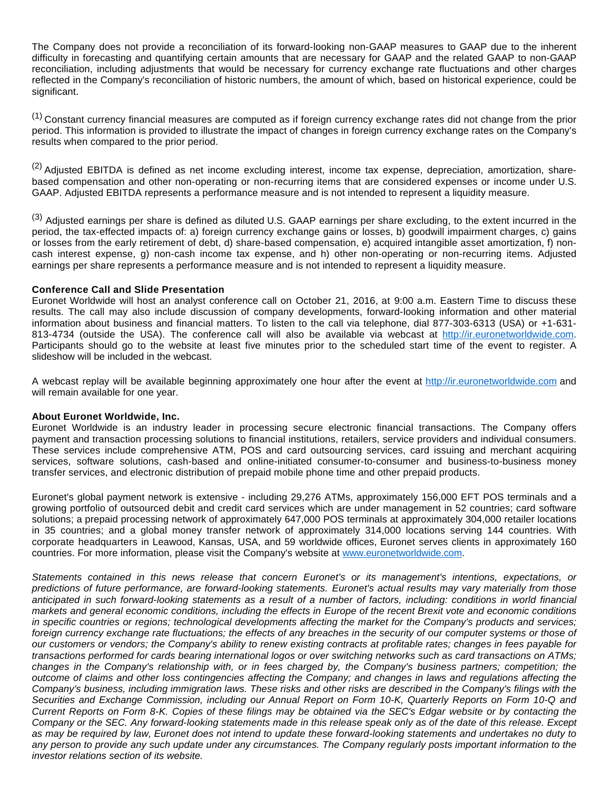The Company does not provide a reconciliation of its forward-looking non-GAAP measures to GAAP due to the inherent difficulty in forecasting and quantifying certain amounts that are necessary for GAAP and the related GAAP to non-GAAP reconciliation, including adjustments that would be necessary for currency exchange rate fluctuations and other charges reflected in the Company's reconciliation of historic numbers, the amount of which, based on historical experience, could be significant.

<sup>(1)</sup> Constant currency financial measures are computed as if foreign currency exchange rates did not change from the prior period. This information is provided to illustrate the impact of changes in foreign currency exchange rates on the Company's results when compared to the prior period.

<sup>(2)</sup> Adiusted EBITDA is defined as net income excluding interest, income tax expense, depreciation, amortization, sharebased compensation and other non-operating or non-recurring items that are considered expenses or income under U.S. GAAP. Adjusted EBITDA represents a performance measure and is not intended to represent a liquidity measure.

(3) Adjusted earnings per share is defined as diluted U.S. GAAP earnings per share excluding, to the extent incurred in the period, the tax-effected impacts of: a) foreign currency exchange gains or losses, b) goodwill impairment charges, c) gains or losses from the early retirement of debt, d) share-based compensation, e) acquired intangible asset amortization, f) noncash interest expense, g) non-cash income tax expense, and h) other non-operating or non-recurring items. Adjusted earnings per share represents a performance measure and is not intended to represent a liquidity measure.

#### **Conference Call and Slide Presentation**

Euronet Worldwide will host an analyst conference call on October 21, 2016, at 9:00 a.m. Eastern Time to discuss these results. The call may also include discussion of company developments, forward-looking information and other material information about business and financial matters. To listen to the call via telephone, dial 877-303-6313 (USA) or +1-631 813-4734 (outside the USA). The conference call will also be available via webcast at [http://ir.euronetworldwide.com](https://www.globenewswire.com/Tracker?data=DPOBOO3VlUyeMkOlhGenLOtnJcnWZ7DOnNy9o-55sZkYWQleCCNXaJXBWA7H2qO-HkBy5gdkBGpSTUKCZEvxYLIkcgskzOyNxfMSRkK_wT3eFstkqxH98EWzQOEnKccz). Participants should go to the website at least five minutes prior to the scheduled start time of the event to register. A slideshow will be included in the webcast.

A webcast replay will be available beginning approximately one hour after the event at [http://ir.euronetworldwide.com](https://www.globenewswire.com/Tracker?data=DPOBOO3VlUyeMkOlhGenLOtnJcnWZ7DOnNy9o-55sZlA1O_bggu4H-Xf8_yf4XqoXzwKGMAtebLCzNFpaeyJHmiy7w5lQe6NFIJVdmv2diOiBGBculeUtSz3VqjqLXvj) and will remain available for one year.

#### **About Euronet Worldwide, Inc.**

Euronet Worldwide is an industry leader in processing secure electronic financial transactions. The Company offers payment and transaction processing solutions to financial institutions, retailers, service providers and individual consumers. These services include comprehensive ATM, POS and card outsourcing services, card issuing and merchant acquiring services, software solutions, cash-based and online-initiated consumer-to-consumer and business-to-business money transfer services, and electronic distribution of prepaid mobile phone time and other prepaid products.

Euronet's global payment network is extensive - including 29,276 ATMs, approximately 156,000 EFT POS terminals and a growing portfolio of outsourced debit and credit card services which are under management in 52 countries; card software solutions; a prepaid processing network of approximately 647,000 POS terminals at approximately 304,000 retailer locations in 35 countries; and a global money transfer network of approximately 314,000 locations serving 144 countries. With corporate headquarters in Leawood, Kansas, USA, and 59 worldwide offices, Euronet serves clients in approximately 160 countries. For more information, please visit the Company's website at [www.euronetworldwide.com](https://www.globenewswire.com/Tracker?data=hx7HQHlh6qTJvTT087GsVbSDeQPp7DziEkP0-LxcwyxKaoJ8RnP34JNtRSoJutF2g3YttFnSWd7qR7DwzUaVF7sfAJ74q2PiwXkAnoIcGy4=).

Statements contained in this news release that concern Euronet's or its management's intentions, expectations, or predictions of future performance, are forward-looking statements. Euronet's actual results may vary materially from those anticipated in such forward-looking statements as a result of a number of factors, including: conditions in world financial markets and general economic conditions, including the effects in Europe of the recent Brexit vote and economic conditions in specific countries or regions; technological developments affecting the market for the Company's products and services; foreign currency exchange rate fluctuations; the effects of any breaches in the security of our computer systems or those of our customers or vendors; the Company's ability to renew existing contracts at profitable rates; changes in fees payable for transactions performed for cards bearing international logos or over switching networks such as card transactions on ATMs; changes in the Company's relationship with, or in fees charged by, the Company's business partners; competition; the outcome of claims and other loss contingencies affecting the Company; and changes in laws and regulations affecting the Company's business, including immigration laws. These risks and other risks are described in the Company's filings with the Securities and Exchange Commission, including our Annual Report on Form 10-K, Quarterly Reports on Form 10-Q and Current Reports on Form 8-K. Copies of these filings may be obtained via the SEC's Edgar website or by contacting the Company or the SEC. Any forward-looking statements made in this release speak only as of the date of this release. Except as may be required by law, Euronet does not intend to update these forward-looking statements and undertakes no duty to any person to provide any such update under any circumstances. The Company regularly posts important information to the investor relations section of its website.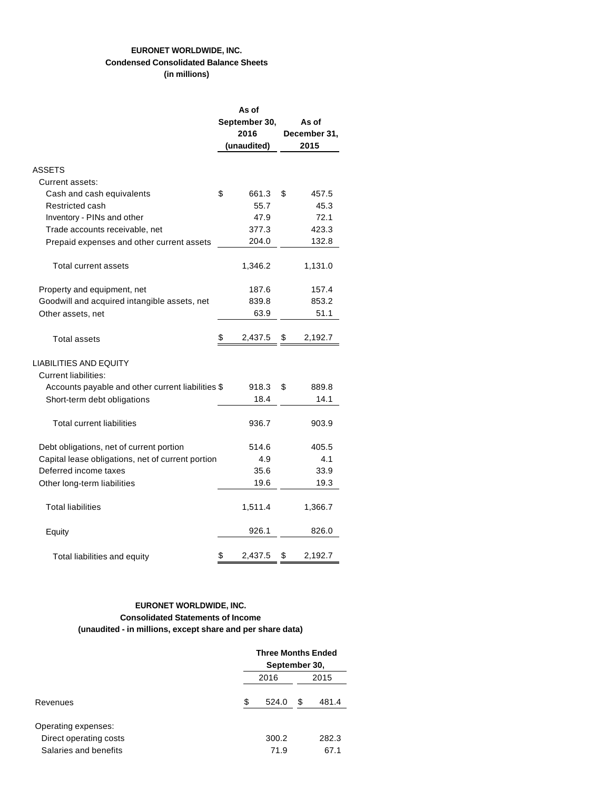## **EURONET WORLDWIDE, INC. Condensed Consolidated Balance Sheets (in millions)**

|                                                              | As of         |               |  |  |  |
|--------------------------------------------------------------|---------------|---------------|--|--|--|
|                                                              | September 30, | As of         |  |  |  |
|                                                              | 2016          | December 31,  |  |  |  |
|                                                              | (unaudited)   | 2015          |  |  |  |
| ASSETS                                                       |               |               |  |  |  |
| Current assets:                                              |               |               |  |  |  |
| Cash and cash equivalents                                    | \$<br>661.3   | \$<br>457.5   |  |  |  |
| Restricted cash                                              | 55.7          | 45.3          |  |  |  |
| Inventory - PINs and other                                   | 47.9          | 72.1          |  |  |  |
| Trade accounts receivable, net                               | 377.3         | 423.3         |  |  |  |
| Prepaid expenses and other current assets                    | 204.0         | 132.8         |  |  |  |
| Total current assets                                         | 1,346.2       | 1,131.0       |  |  |  |
| Property and equipment, net                                  | 187.6         | 157.4         |  |  |  |
| Goodwill and acquired intangible assets, net                 | 839.8         | 853.2         |  |  |  |
| Other assets, net                                            | 63.9          | 51.1          |  |  |  |
| Total assets                                                 | 2,437.5<br>\$ | 2,192.7<br>\$ |  |  |  |
| <b>LIABILITIES AND EQUITY</b><br><b>Current liabilities:</b> |               |               |  |  |  |
| Accounts payable and other current liabilities \$            | 918.3         | \$<br>889.8   |  |  |  |
| Short-term debt obligations                                  | 18.4          | 14.1          |  |  |  |
| <b>Total current liabilities</b>                             | 936.7         | 903.9         |  |  |  |
| Debt obligations, net of current portion                     | 514.6         | 405.5         |  |  |  |
| Capital lease obligations, net of current portion            | 4.9           | 4.1           |  |  |  |
| Deferred income taxes                                        | 35.6          | 33.9          |  |  |  |
| Other long-term liabilities                                  | 19.6          | 19.3          |  |  |  |
| <b>Total liabilities</b>                                     | 1,511.4       | 1,366.7       |  |  |  |
| Equity                                                       | 926.1         | 826.0         |  |  |  |
| Total liabilities and equity                                 | S<br>2,437.5  | 2,192.7<br>\$ |  |  |  |

## **EURONET WORLDWIDE, INC. Consolidated Statements of Income (unaudited - in millions, except share and per share data)**

|                        |    | <b>Three Months Ended</b><br>September 30, |   |       |  |  |
|------------------------|----|--------------------------------------------|---|-------|--|--|
|                        |    |                                            |   |       |  |  |
|                        |    | 2016                                       |   | 2015  |  |  |
| Revenues               | \$ | 524.0                                      | S | 481.4 |  |  |
| Operating expenses:    |    |                                            |   |       |  |  |
| Direct operating costs |    | 300.2                                      |   | 282.3 |  |  |
| Salaries and benefits  |    | 71.9                                       |   | 67.1  |  |  |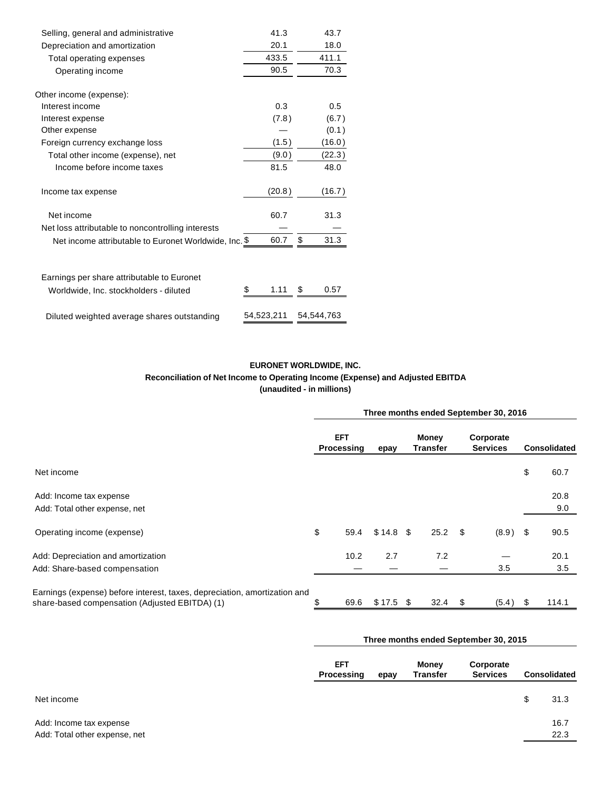| Selling, general and administrative                   | 41.3       | 43.7       |
|-------------------------------------------------------|------------|------------|
| Depreciation and amortization                         | 20.1       | 18.0       |
| Total operating expenses                              | 433.5      | 411.1      |
| Operating income                                      | 90.5       | 70.3       |
| Other income (expense):                               |            |            |
| Interest income                                       | 0.3        | 0.5        |
| Interest expense                                      | (7.8)      | (6.7)      |
| Other expense                                         |            | (0.1)      |
| Foreign currency exchange loss                        | (1.5)      | (16.0)     |
| Total other income (expense), net                     | (9.0)      | (22.3)     |
| Income before income taxes                            | 81.5       | 48.0       |
| Income tax expense                                    | (20.8)     | (16.7)     |
| Net income                                            | 60.7       | 31.3       |
| Net loss attributable to noncontrolling interests     |            |            |
| Net income attributable to Euronet Worldwide, Inc. \$ | 60.7       | \$<br>31.3 |
| Earnings per share attributable to Euronet            |            |            |
|                                                       | 1.11<br>S  | \$<br>0.57 |
| Worldwide, Inc. stockholders - diluted                |            |            |
| Diluted weighted average shares outstanding           | 54,523,211 | 54,544,763 |

## **EURONET WORLDWIDE, INC. Reconciliation of Net Income to Operating Income (Expense) and Adjusted EBITDA (unaudited - in millions)**

|                                                                                                                             | Three months ended September 30, 2016 |                          |            |  |                          |  |                                       |      |                     |
|-----------------------------------------------------------------------------------------------------------------------------|---------------------------------------|--------------------------|------------|--|--------------------------|--|---------------------------------------|------|---------------------|
|                                                                                                                             |                                       | <b>EFT</b><br>Processing | epay       |  | Money<br><b>Transfer</b> |  | Corporate<br><b>Services</b>          |      | <b>Consolidated</b> |
| Net income                                                                                                                  |                                       |                          |            |  |                          |  |                                       | \$   | 60.7                |
| Add: Income tax expense<br>Add: Total other expense, net                                                                    |                                       |                          |            |  |                          |  |                                       |      | 20.8<br>9.0         |
| Operating income (expense)                                                                                                  | \$                                    | 59.4                     | $$14.8$ \$ |  | $25.2$ \$                |  | (8.9)                                 | \$   | 90.5                |
| Add: Depreciation and amortization<br>Add: Share-based compensation                                                         |                                       | 10.2                     | 2.7        |  | 7.2                      |  | 3.5                                   |      | 20.1<br>3.5         |
| Earnings (expense) before interest, taxes, depreciation, amortization and<br>share-based compensation (Adjusted EBITDA) (1) | \$                                    | 69.6                     | $$17.5$ \$ |  | $32.4\quad$              |  | (5.4)                                 | - \$ | 114.1               |
|                                                                                                                             |                                       |                          |            |  |                          |  | Three months ended September 30, 2015 |      |                     |

|                                                          | EFT<br>Processing<br>epay |  | Money<br><b>Transfer</b> | Corporate<br><b>Services</b> | <b>Consolidated</b> |              |
|----------------------------------------------------------|---------------------------|--|--------------------------|------------------------------|---------------------|--------------|
| Net income                                               |                           |  |                          |                              | \$                  | 31.3         |
| Add: Income tax expense<br>Add: Total other expense, net |                           |  |                          |                              |                     | 16.7<br>22.3 |